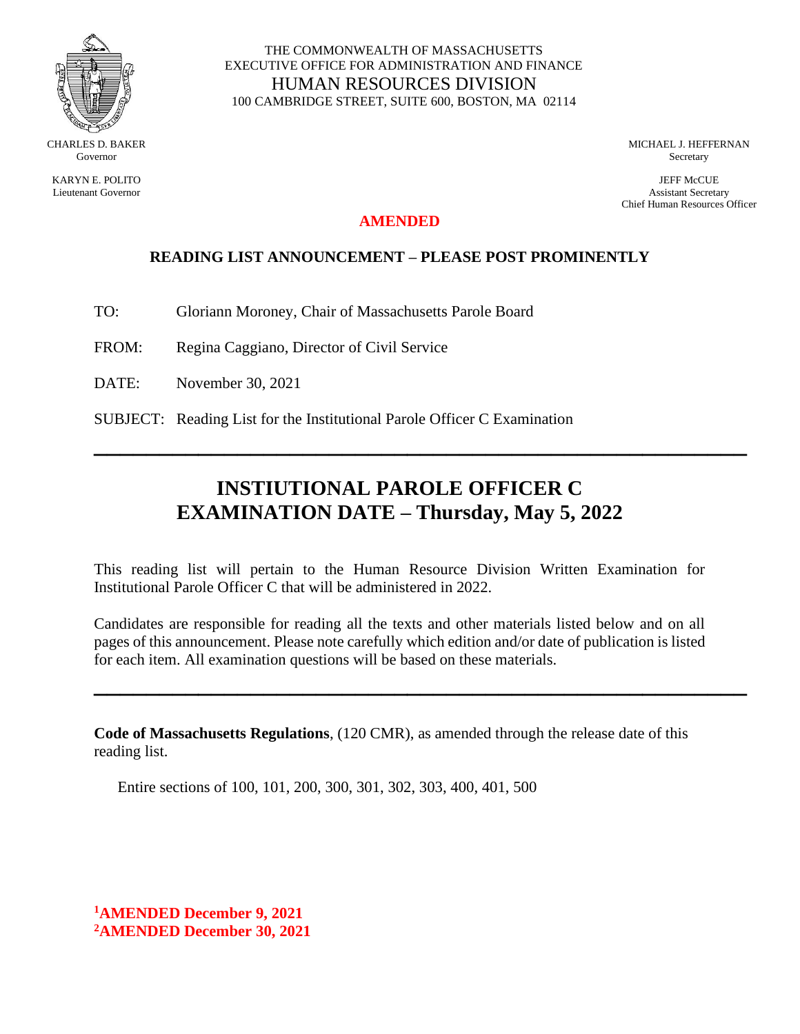

KARYN E. POLITO Lieutenant Governor

#### THE COMMONWEALTH OF MASSACHUSETTS EXECUTIVE OFFICE FOR ADMINISTRATION AND FINANCE HUMAN RESOURCES DIVISION 100 CAMBRIDGE STREET, SUITE 600, BOSTON, MA 02114

MICHAEL J. HEFFERNAN Secretary

JEFF McCUE Assistant Secretary Chief Human Resources Officer

## **AMENDED**

## **READING LIST ANNOUNCEMENT – PLEASE POST PROMINENTLY**

- TO: Gloriann Moroney, Chair of Massachusetts Parole Board
- FROM: Regina Caggiano, Director of Civil Service
- DATE: November 30, 2021
- SUBJECT: Reading List for the Institutional Parole Officer C Examination

# **INSTIUTIONAL PAROLE OFFICER C EXAMINATION DATE – Thursday, May 5, 2022**

**\_\_\_\_\_\_\_\_\_\_\_\_\_\_\_\_\_\_\_\_\_\_\_\_\_\_\_\_\_\_\_\_\_\_\_\_\_\_\_\_\_\_\_\_\_\_\_\_\_\_**

This reading list will pertain to the Human Resource Division Written Examination for Institutional Parole Officer C that will be administered in 2022.

Candidates are responsible for reading all the texts and other materials listed below and on all pages of this announcement. Please note carefully which edition and/or date of publication is listed for each item. All examination questions will be based on these materials.

**\_\_\_\_\_\_\_\_\_\_\_\_\_\_\_\_\_\_\_\_\_\_\_\_\_\_\_\_\_\_\_\_\_\_\_\_\_\_\_\_\_\_\_\_\_\_\_\_\_\_**

**Code of Massachusetts Regulations**, (120 CMR), as amended through the release date of this reading list.

Entire sections of 100, 101, 200, 300, 301, 302, 303, 400, 401, 500

**<sup>1</sup>AMENDED December 9, 2021 <sup>2</sup>AMENDED December 30, 2021**